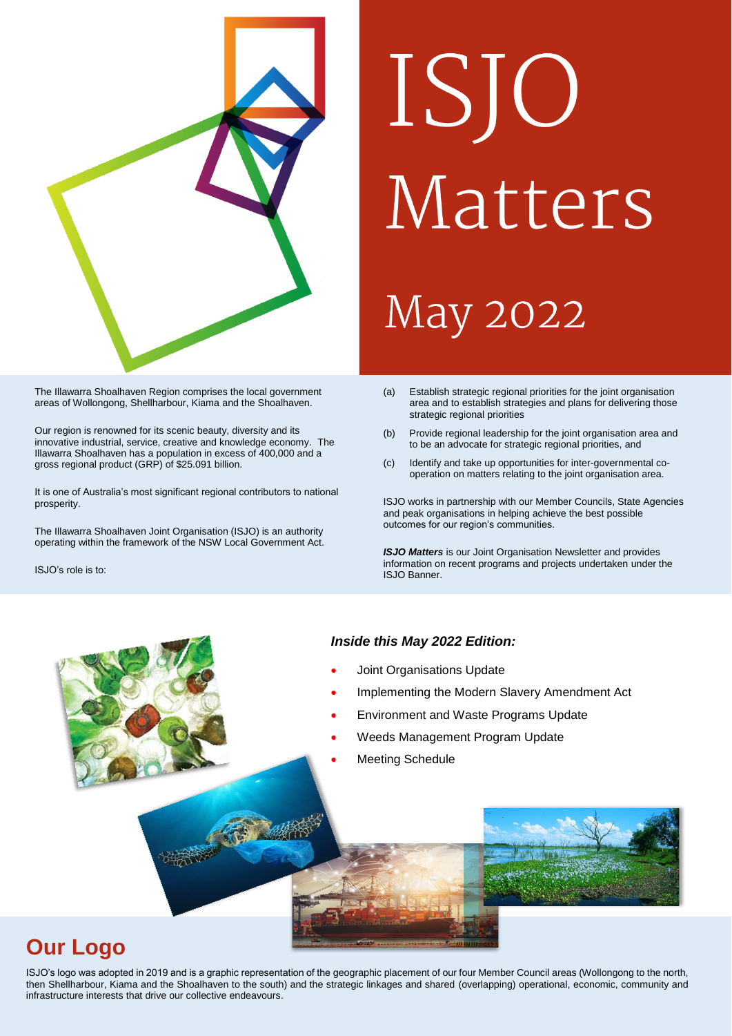

### The Illawarra Shoalhaven Region comprises the local government areas of Wollongong, Shellharbour, Kiama and the Shoalhaven.

Our region is renowned for its scenic beauty, diversity and its innovative industrial, service, creative and knowledge economy. The Illawarra Shoalhaven has a population in excess of 400,000 and a gross regional product (GRP) of \$25.091 billion.

It is one of Australia's most significant regional contributors to national prosperity.

The Illawarra Shoalhaven Joint Organisation (ISJO) is an authority operating within the framework of the NSW Local Government Act.

ISJO's role is to:

# ISJO Matters **May 2022**

- (a) Establish strategic regional priorities for the joint organisation area and to establish strategies and plans for delivering those strategic regional priorities
- (b) Provide regional leadership for the joint organisation area and to be an advocate for strategic regional priorities, and
- (c) Identify and take up opportunities for inter-governmental cooperation on matters relating to the joint organisation area.

ISJO works in partnership with our Member Councils, State Agencies and peak organisations in helping achieve the best possible outcomes for our region's communities.

*ISJO Matters* is our Joint Organisation Newsletter and provides information on recent programs and projects undertaken under the ISJO Banner.

### *Inside this May 2022 Edition:*

- Joint Organisations Update
- Implementing the Modern Slavery Amendment Act
- Environment and Waste Programs Update
- Weeds Management Program Update
- Meeting Schedule



# **Our Logo**

ISJO's logo was adopted in 2019 and is a graphic representation of the geographic placement of our four Member Council areas (Wollongong to the north, then Shellharbour, Kiama and the Shoalhaven to the south) and the strategic linkages and shared (overlapping) operational, economic, community and infrastructure interests that drive our collective endeavours.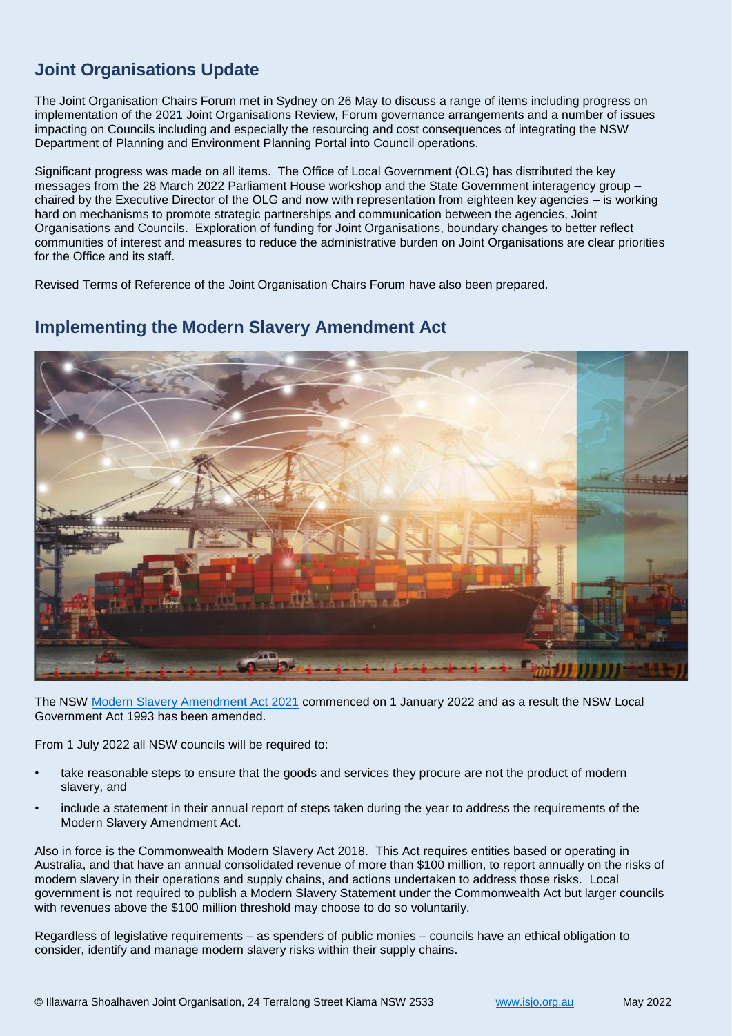# **Joint Organisations Update**

The Joint Organisation Chairs Forum met in Sydney on 26 May to discuss a range of items including progress on implementation of the 2021 Joint Organisations Review, Forum governance arrangements and a number of issues impacting on Councils including and especially the resourcing and cost consequences of integrating the NSW Department of Planning and Environment Planning Portal into Council operations.

Significant progress was made on all items. The Office of Local Government (OLG) has distributed the key messages from the 28 March 2022 Parliament House workshop and the State Government interagency group – chaired by the Executive Director of the OLG and now with representation from eighteen key agencies – is working hard on mechanisms to promote strategic partnerships and communication between the agencies, Joint Organisations and Councils. Exploration of funding for Joint Organisations, boundary changes to better reflect communities of interest and measures to reduce the administrative burden on Joint Organisations are clear priorities for the Office and its staff.

Revised Terms of Reference of the Joint Organisation Chairs Forum have also been prepared.

# **Implementing the Modern Slavery Amendment Act**



The NSW [Modern Slavery Amendment Act 2021](https://legislation.nsw.gov.au/view/pdf/asmade/act-2021-39) commenced on 1 January 2022 and as a result the NSW Local Government Act 1993 has been amended.

From 1 July 2022 all NSW councils will be required to:

- take reasonable steps to ensure that the goods and services they procure are not the product of modern slavery, and
- include a statement in their annual report of steps taken during the year to address the requirements of the Modern Slavery Amendment Act.

Also in force is the Commonwealth Modern Slavery Act 2018. This Act requires entities based or operating in Australia, and that have an annual consolidated revenue of more than \$100 million, to report annually on the risks of modern slavery in their operations and supply chains, and actions undertaken to address those risks. Local government is not required to publish a Modern Slavery Statement under the Commonwealth Act but larger councils with revenues above the \$100 million threshold may choose to do so voluntarily.

Regardless of legislative requirements – as spenders of public monies – councils have an ethical obligation to consider, identify and manage modern slavery risks within their supply chains.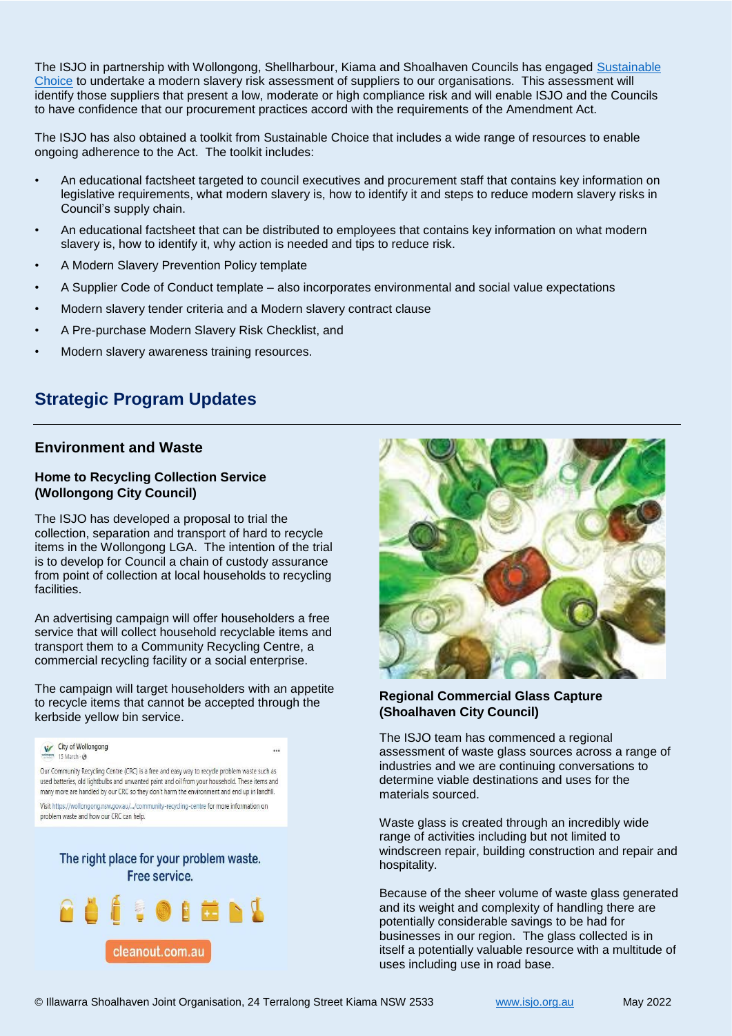The ISJO in partnership with Wollongong, Shellharbour, Kiama and Shoalhaven Councils has engaged [Sustainable](https://lgp.org.au/sustainable-choice/)  [Choice](https://lgp.org.au/sustainable-choice/) to undertake a modern slavery risk assessment of suppliers to our organisations. This assessment will identify those suppliers that present a low, moderate or high compliance risk and will enable ISJO and the Councils to have confidence that our procurement practices accord with the requirements of the Amendment Act.

The ISJO has also obtained a toolkit from Sustainable Choice that includes a wide range of resources to enable ongoing adherence to the Act. The toolkit includes:

- An educational factsheet targeted to council executives and procurement staff that contains key information on legislative requirements, what modern slavery is, how to identify it and steps to reduce modern slavery risks in Council's supply chain.
- An educational factsheet that can be distributed to employees that contains key information on what modern slavery is, how to identify it, why action is needed and tips to reduce risk.
- A Modern Slavery Prevention Policy template
- A Supplier Code of Conduct template also incorporates environmental and social value expectations
- Modern slavery tender criteria and a Modern slavery contract clause
- A Pre-purchase Modern Slavery Risk Checklist, and
- Modern slavery awareness training resources.

# **Strategic Program Updates**

### **Environment and Waste**

### **Home to Recycling Collection Service (Wollongong City Council)**

The ISJO has developed a proposal to trial the collection, separation and transport of hard to recycle items in the Wollongong LGA. The intention of the trial is to develop for Council a chain of custody assurance from point of collection at local households to recycling facilities.

An advertising campaign will offer householders a free service that will collect household recyclable items and transport them to a Community Recycling Centre, a commercial recycling facility or a social enterprise.

The campaign will target householders with an appetite to recycle items that cannot be accepted through the kerbside yellow bin service.



Free service.





### **Regional Commercial Glass Capture (Shoalhaven City Council)**

The ISJO team has commenced a regional assessment of waste glass sources across a range of industries and we are continuing conversations to determine viable destinations and uses for the materials sourced.

Waste glass is created through an incredibly wide range of activities including but not limited to windscreen repair, building construction and repair and hospitality.

Because of the sheer volume of waste glass generated and its weight and complexity of handling there are potentially considerable savings to be had for businesses in our region. The glass collected is in itself a potentially valuable resource with a multitude of uses including use in road base.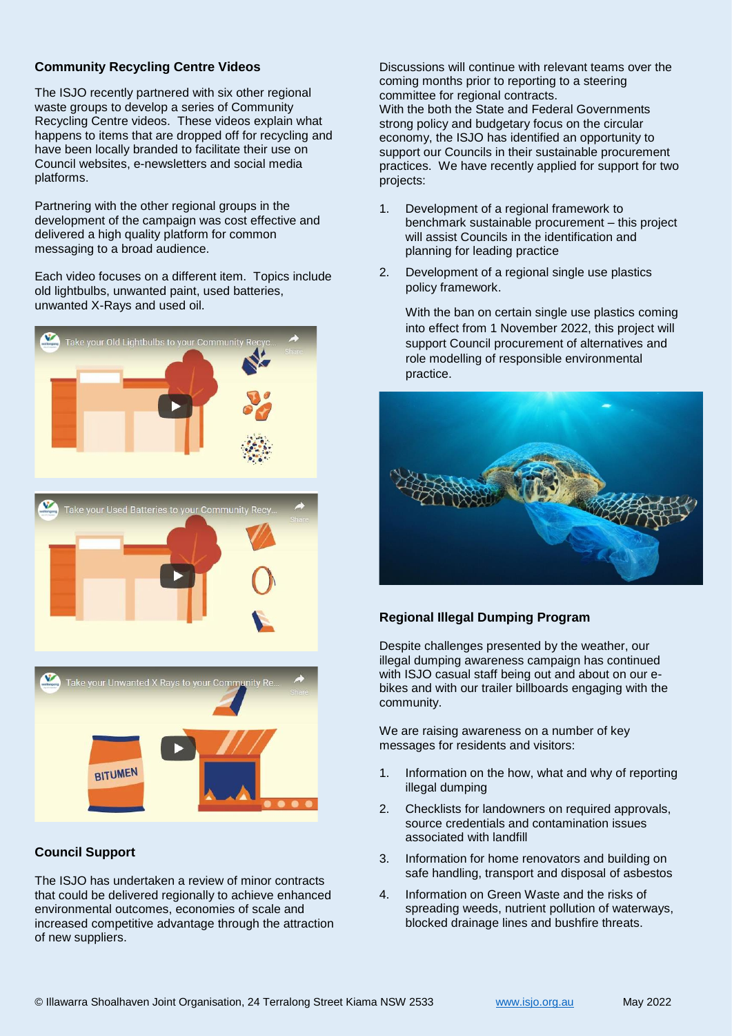### **Community Recycling Centre Videos**

The ISJO recently partnered with six other regional waste groups to develop a series of Community Recycling Centre videos. These videos explain what happens to items that are dropped off for recycling and have been locally branded to facilitate their use on Council websites, e-newsletters and social media platforms.

Partnering with the other regional groups in the development of the campaign was cost effective and delivered a high quality platform for common messaging to a broad audience.

Each video focuses on a different item. Topics include old lightbulbs, unwanted paint, used batteries, unwanted X-Rays and used oil.



Discussions will continue with relevant teams over the coming months prior to reporting to a steering committee for regional contracts. With the both the State and Federal Governments strong policy and budgetary focus on the circular economy, the ISJO has identified an opportunity to support our Councils in their sustainable procurement practices. We have recently applied for support for two projects:

- 1. Development of a regional framework to benchmark sustainable procurement – this project will assist Councils in the identification and planning for leading practice
- 2. Development of a regional single use plastics policy framework.

With the ban on certain single use plastics coming into effect from 1 November 2022, this project will support Council procurement of alternatives and role modelling of responsible environmental practice.



### **Regional Illegal Dumping Program**

Despite challenges presented by the weather, our illegal dumping awareness campaign has continued with ISJO casual staff being out and about on our ebikes and with our trailer billboards engaging with the community.

We are raising awareness on a number of key messages for residents and visitors:

- 1. Information on the how, what and why of reporting illegal dumping
- 2. Checklists for landowners on required approvals, source credentials and contamination issues associated with landfill
- 3. Information for home renovators and building on safe handling, transport and disposal of asbestos
- 4. Information on Green Waste and the risks of spreading weeds, nutrient pollution of waterways, blocked drainage lines and bushfire threats.

## **Council Support**

**BITUMEN** 

The ISJO has undertaken a review of minor contracts that could be delivered regionally to achieve enhanced environmental outcomes, economies of scale and increased competitive advantage through the attraction of new suppliers.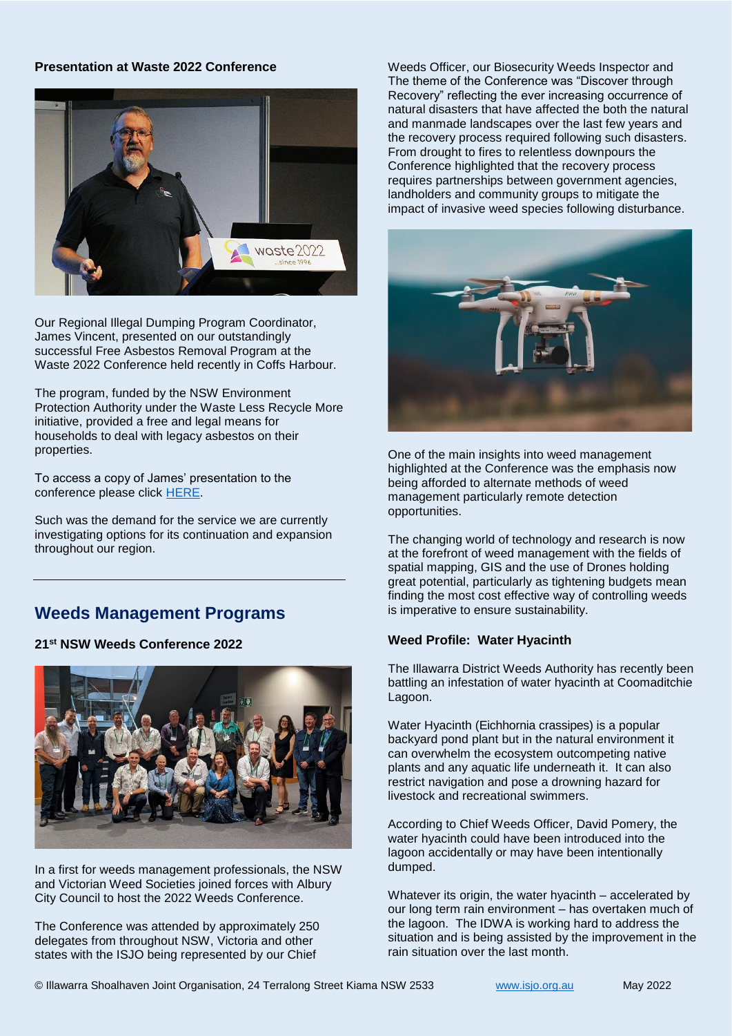### **Presentation at Waste 2022 Conference**

![](_page_4_Picture_1.jpeg)

Our Regional Illegal Dumping Program Coordinator, James Vincent, presented on our outstandingly successful Free Asbestos Removal Program at the Waste 2022 Conference held recently in Coffs Harbour.

The program, funded by the NSW Environment Protection Authority under the Waste Less Recycle More initiative, provided a free and legal means for households to deal with legacy asbestos on their properties.

To access a copy of James' presentation to the conference please click [HERE.](https://az659834.vo.msecnd.net/eventsairaueprod/production-impactenviro-public/584bc137526d40b5a64b63f89a73f00e)

Such was the demand for the service we are currently investigating options for its continuation and expansion throughout our region.

# **Weeds Management Programs**

### **21st NSW Weeds Conference 2022**

![](_page_4_Picture_8.jpeg)

In a first for weeds management professionals, the NSW and Victorian Weed Societies joined forces with Albury City Council to host the 2022 Weeds Conference.

The Conference was attended by approximately 250 delegates from throughout NSW, Victoria and other states with the ISJO being represented by our Chief

Weeds Officer, our Biosecurity Weeds Inspector and The theme of the Conference was "Discover through Recovery" reflecting the ever increasing occurrence of natural disasters that have affected the both the natural and manmade landscapes over the last few years and the recovery process required following such disasters. From drought to fires to relentless downpours the Conference highlighted that the recovery process requires partnerships between government agencies, landholders and community groups to mitigate the impact of invasive weed species following disturbance.

![](_page_4_Picture_12.jpeg)

One of the main insights into weed management highlighted at the Conference was the emphasis now being afforded to alternate methods of weed management particularly remote detection opportunities.

The changing world of technology and research is now at the forefront of weed management with the fields of spatial mapping, GIS and the use of Drones holding great potential, particularly as tightening budgets mean finding the most cost effective way of controlling weeds is imperative to ensure sustainability.

### **Weed Profile: Water Hyacinth**

The Illawarra District Weeds Authority has recently been battling an infestation of water hyacinth at Coomaditchie Lagoon.

Water Hyacinth (Eichhornia crassipes) is a popular backyard pond plant but in the natural environment it can overwhelm the ecosystem outcompeting native plants and any aquatic life underneath it. It can also restrict navigation and pose a drowning hazard for livestock and recreational swimmers.

According to Chief Weeds Officer, David Pomery, the water hyacinth could have been introduced into the lagoon accidentally or may have been intentionally dumped.

Whatever its origin, the water hyacinth – accelerated by our long term rain environment – has overtaken much of the lagoon. The IDWA is working hard to address the situation and is being assisted by the improvement in the rain situation over the last month.